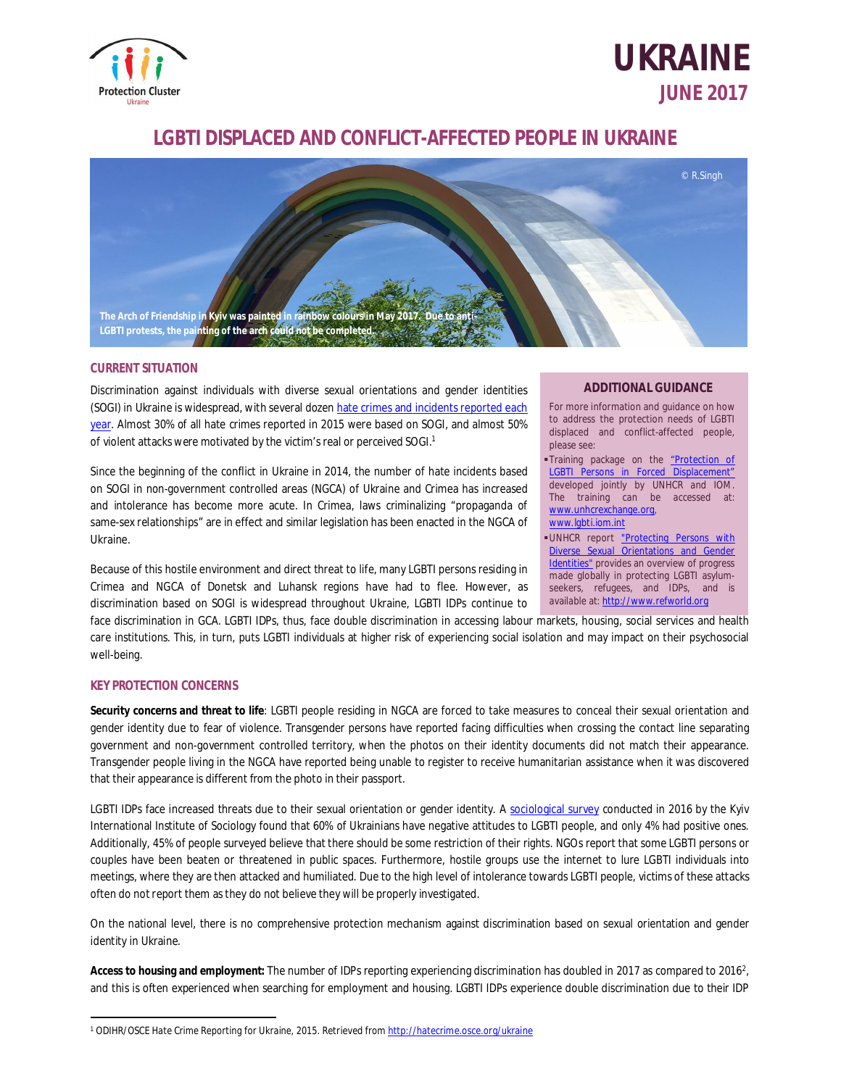

# **UKRAINE JUNE 2017**

## **LGBTI DISPLACED AND CONFLICT-AFFECTED PEOPLE IN UKRAINE**



### **CURRENT SITUATION**

Discrimination against individuals with diverse sexual orientations and gender identities (SOGI) in Ukraine is widespread, with several dozen hate crimes and incidents reported each year. Almost 30% of all hate crimes reported in 2015 were based on SOGI, and almost 50% of violent attacks were motivated by the victim's real or perceived SOGI.<sup>1</sup>

Since the beginning of the conflict in Ukraine in 2014, the number of hate incidents based on SOGI in non-government controlled areas (NGCA) of Ukraine and Crimea has increased and intolerance has become more acute. In Crimea, laws criminalizing "propaganda of same-sex relationships" are in effect and similar legislation has been enacted in the NGCA of Ukraine.

Because of this hostile environment and direct threat to life, many LGBTI persons residing in Crimea and NGCA of Donetsk and Luhansk regions have had to flee. However, as discrimination based on SOGI is widespread throughout Ukraine, LGBTI IDPs continue to

#### **ADDITIONAL GUIDANCE**

For more information and guidance on how to address the protection needs of LGBTI displaced and conflict-affected people, please see:

Training package on the "Protection of LGBTI Persons in Forced Displacement" developed jointly by UNHCR and IOM. The training can be accessed at: [www.unhcrexchange.org,](http://www.unhcrexchange.org,)  [www.lgbti.iom.int](http://www.lgbti.iom.int)

UNHCR report "Protecting Persons with Diverse Sexual Orientations and Gender Identities" provides an overview of progress made globally in protecting LGBTI asylumseekers, refugees, and IDPs, and is available at: <http://www.refworld.org>

face discrimination in GCA. LGBTI IDPs, thus, face double discrimination in accessing labour markets, housing, social services and health care institutions. This, in turn, puts LGBTI individuals at higher risk of experiencing social isolation and may impact on their psychosocial well-being.

### **KEY PROTECTION CONCERNS**

**Security concerns and threat to life**: LGBTI people residing in NGCA are forced to take measures to conceal their sexual orientation and gender identity due to fear of violence. Transgender persons have reported facing difficulties when crossing the contact line separating government and non-government controlled territory, when the photos on their identity documents did not match their appearance. Transgender people living in the NGCA have reported being unable to register to receive humanitarian assistance when it was discovered that their appearance is different from the photo in their passport.

LGBTI IDPs face increased threats due to their sexual orientation or gender identity. A sociological survey conducted in 2016 by the Kyiv International Institute of Sociology found that 60% of Ukrainians have negative attitudes to LGBTI people, and only 4% had positive ones. Additionally, 45% of people surveyed believe that there should be some restriction of their rights. NGOs report that some LGBTI persons or couples have been beaten or threatened in public spaces. Furthermore, hostile groups use the internet to lure LGBTI individuals into meetings, where they are then attacked and humiliated. Due to the high level of intolerance towards LGBTI people, victims of these attacks often do not report them as they do not believe they will be properly investigated.

On the national level, there is no comprehensive protection mechanism against discrimination based on sexual orientation and gender identity in Ukraine.

**Access to housing and employment:** The number of IDPs reporting experiencing discrimination has doubled in 2017 as compared to 2016<sup>2</sup> , and this is often experienced when searching for employment and housing. LGBTI IDPs experience double discrimination due to their IDP

 $\overline{a}$ <sup>1</sup> *ODIHR/OSCE Hate Crime Reporting for Ukraine, 2015*. Retrieved from <http://hatecrime.osce.org/ukraine>